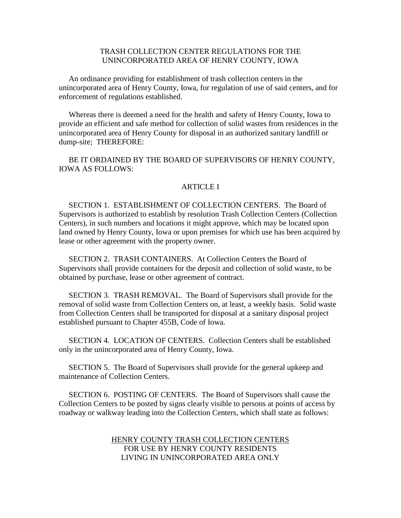# TRASH COLLECTION CENTER REGULATIONS FOR THE UNINCORPORATED AREA OF HENRY COUNTY, IOWA

 An ordinance providing for establishment of trash collection centers in the unincorporated area of Henry County, Iowa, for regulation of use of said centers, and for enforcement of regulations established.

 Whereas there is deemed a need for the health and safety of Henry County, Iowa to provide an efficient and safe method for collection of solid wastes from residences in the unincorporated area of Henry County for disposal in an authorized sanitary landfill or dump-site; THEREFORE:

 BE IT ORDAINED BY THE BOARD OF SUPERVISORS OF HENRY COUNTY, IOWA AS FOLLOWS:

### **ARTICLE I**

 SECTION 1. ESTABLISHMENT OF COLLECTION CENTERS. The Board of Supervisors is authorized to establish by resolution Trash Collection Centers (Collection Centers), in such numbers and locations it might approve, which may be located upon land owned by Henry County, Iowa or upon premises for which use has been acquired by lease or other agreement with the property owner.

 SECTION 2. TRASH CONTAINERS. At Collection Centers the Board of Supervisors shall provide containers for the deposit and collection of solid waste, to be obtained by purchase, lease or other agreement of contract.

 SECTION 3. TRASH REMOVAL. The Board of Supervisors shall provide for the removal of solid waste from Collection Centers on, at least, a weekly basis. Solid waste from Collection Centers shall be transported for disposal at a sanitary disposal project established pursuant to Chapter 455B, Code of Iowa.

 SECTION 4. LOCATION OF CENTERS. Collection Centers shall be established only in the unincorporated area of Henry County, Iowa.

 SECTION 5. The Board of Supervisors shall provide for the general upkeep and maintenance of Collection Centers.

 SECTION 6. POSTING OF CENTERS. The Board of Supervisors shall cause the Collection Centers to be posted by signs clearly visible to persons at points of access by roadway or walkway leading into the Collection Centers, which shall state as follows:

### HENRY COUNTY TRASH COLLECTION CENTERS FOR USE BY HENRY COUNTY RESIDENTS LIVING IN UNINCORPORATED AREA ONLY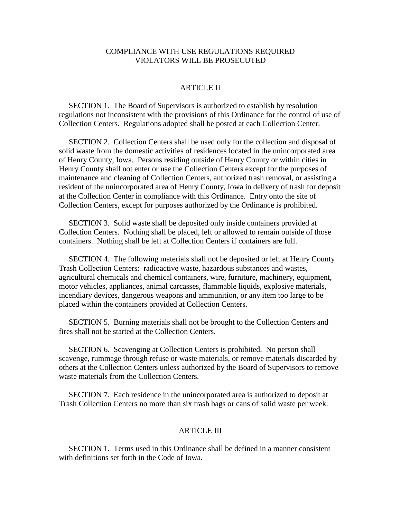## COMPLIANCE WITH USE REGULATIONS REQUIRED VIOLATORS WILL BE PROSECUTED

## ARTICLE II

 SECTION 1. The Board of Supervisors is authorized to establish by resolution regulations not inconsistent with the provisions of this Ordinance for the control of use of Collection Centers. Regulations adopted shall be posted at each Collection Center.

 SECTION 2. Collection Centers shall be used only for the collection and disposal of solid waste from the domestic activities of residences located in the unincorporated area of Henry County, Iowa. Persons residing outside of Henry County or within cities in Henry County shall not enter or use the Collection Centers except for the purposes of maintenance and cleaning of Collection Centers, authorized trash removal, or assisting a resident of the unincorporated area of Henry County, Iowa in delivery of trash for deposit at the Collection Center in compliance with this Ordinance. Entry onto the site of Collection Centers, except for purposes authorized by the Ordinance is prohibited.

 SECTION 3. Solid waste shall be deposited only inside containers provided at Collection Centers. Nothing shall be placed, left or allowed to remain outside of those containers. Nothing shall be left at Collection Centers if containers are full.

 SECTION 4. The following materials shall not be deposited or left at Henry County Trash Collection Centers: radioactive waste, hazardous substances and wastes, agricultural chemicals and chemical containers, wire, furniture, machinery, equipment, motor vehicles, appliances, animal carcasses, flammable liquids, explosive materials, incendiary devices, dangerous weapons and ammunition, or any item too large to be placed within the containers provided at Collection Centers.

 SECTION 5. Burning materials shall not be brought to the Collection Centers and fires shall not be started at the Collection Centers.

 SECTION 6. Scavenging at Collection Centers is prohibited. No person shall scavenge, rummage through refuse or waste materials, or remove materials discarded by others at the Collection Centers unless authorized by the Board of Supervisors to remove waste materials from the Collection Centers.

 SECTION 7. Each residence in the unincorporated area is authorized to deposit at Trash Collection Centers no more than six trash bags or cans of solid waste per week.

#### ARTICLE III

 SECTION 1. Terms used in this Ordinance shall be defined in a manner consistent with definitions set forth in the Code of Iowa.